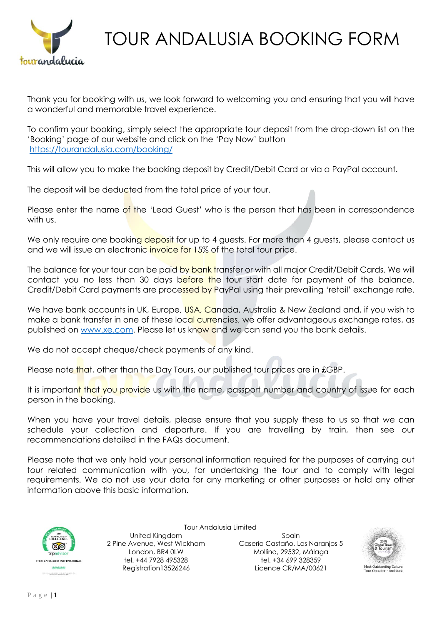

Thank you for booking with us, we look forward to welcoming you and ensuring that you will have a wonderful and memorable travel experience.

To confirm your booking, simply select the appropriate tour deposit from the drop-down list on the 'Booking' page of our website and click on the 'Pay Now' button <https://tourandalusia.com/booking/>

This will allow you to make the booking deposit by Credit/Debit Card or via a PayPal account.

The deposit will be deducted from the total price of your tour.

Please enter the name of the 'Lead Guest' who is the person that has been in correspondence with us.

We only require one booking deposit for up to 4 quests. For more than 4 quests, please contact us and we will issue an electronic invoice for 15% of the total tour price.

The balance for your tour can be paid by bank transfer or with all major Credit/Debit Cards. We will contact you no less than 30 days before the tour start date for payment of the balance. Credit/Debit Card payments are processed by PayPal using their prevailing 'retail' exchange rate.

We have bank accounts in UK, Europe, USA, Canada, Australia & New Zealand and, if you wish to make a bank transfer in one of these local currencies, we offer advantageous exchange rates, as published on [www.xe.com.](http://www.xe.com/) Please let us know and we can send you the bank details.

We do not accept cheque/check payments of any kind.

Please note that, other than the Day Tours, our published tour prices are in £GBP.

It is important that you provide us with the name, passport number and country of issue for each person in the booking.

When you have your travel details, please ensure that you supply these to us so that we can schedule your collection and departure. If you are travelling by train, then see our recommendations detailed in the FAQs document.

Please note that we only hold your personal information required for the purposes of carrying out tour related communication with you, for undertaking the tour and to comply with legal requirements. We do not use your data for any marketing or other purposes or hold any other information above this basic information.



Tour Andalusia Limited United Kingdom 2 Pine Avenue, West Wickham London, BR4 0LW tel. +44 7928 495328 Registration13526246

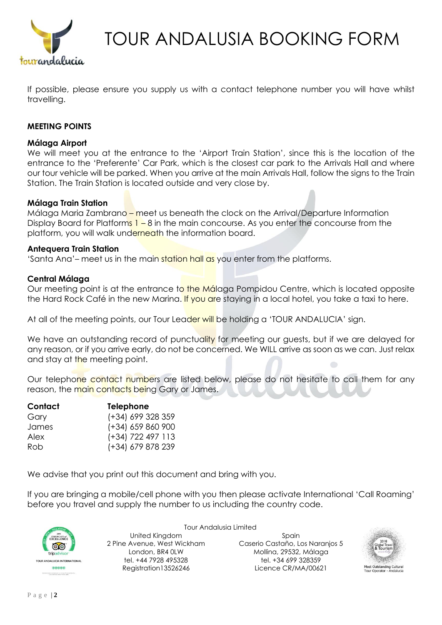

If possible, please ensure you supply us with a contact telephone number you will have whilst travelling.

## **MEETING POINTS**

### **Málaga Airport**

We will meet you at the entrance to the 'Airport Train Station', since this is the location of the entrance to the 'Preferente' Car Park, which is the closest car park to the Arrivals Hall and where our tour vehicle will be parked. When you arrive at the main Arrivals Hall, follow the signs to the Train Station. The Train Station is located outside and very close by.

### **Málaga Train Station**

Málaga Maria Zambrano – meet us beneath the clock on the Arrival/Departure Information Display Board for Platforms  $1 - 8$  in the main concourse. As you enter the concourse from the platform, you will walk underneath the information board.

#### **Antequera Train Station**

'Santa Ana'– meet us in the main station hall as you enter from the platforms.

### **Central Málaga**

Our meeting point is at the entrance to the Málaga Pompidou Centre, which is located opposite the Hard Rock Café in the new Marina. If you are staying in a local hotel, you take a taxi to here.

At all of the meeting points, our Tour Leader will be holding a 'TOUR ANDALUCIA' sign.

We have an outstanding record of punctuality for meeting our guests, but if we are delayed for any reason, or if you arrive early, do not be concerned. We WILL arrive as soon as we can. Just relax and stay at the meeting point.

Our telephone contact numbers are listed below, please do not hesitate to call them for any reason, the main contacts being Gary or James.

| Contact | <b>Telephone</b>  |  |  |
|---------|-------------------|--|--|
| Gary    | (+34) 699 328 359 |  |  |
| James   | (+34) 659 860 900 |  |  |
| Alex    | (+34) 722 497 113 |  |  |
| Rob     | (+34) 679 878 239 |  |  |

We advise that you print out this document and bring with you.

If you are bringing a mobile/cell phone with you then please activate International 'Call Roaming' before you travel and supply the number to us including the country code.



Tour Andalusia Limited United Kingdom 2 Pine Avenue, West Wickham London, BR4 0LW tel. +44 7928 495328 Registration13526246

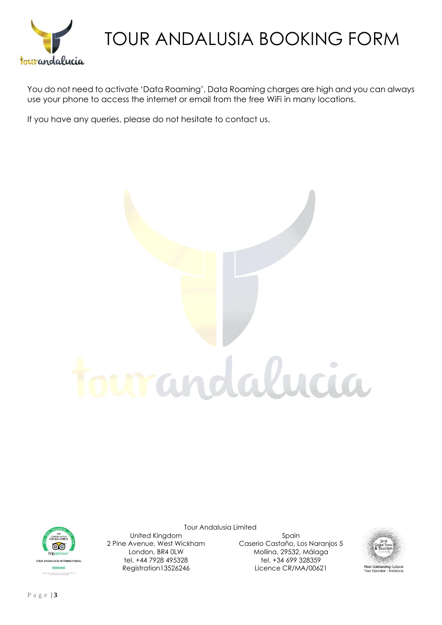

You do not need to activate 'Data Roaming'. Data Roaming charges are high and you can always use your phone to access the internet or email from the free WiFi in many locations.

If you have any queries, please do not hesitate to contact us.





Tour Andalusia Limited

United Kingdom 2 Pine Avenue, West Wickham London, BR4 0LW tel. +44 7928 495328 Registration13526246

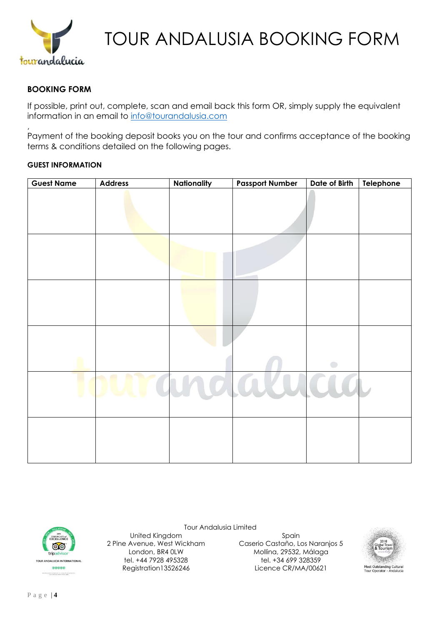

## **BOOKING FORM**

,

If possible, print out, complete, scan and email back this form OR, simply supply the equivalent information in an email to [info@tourandalusia.com](mailto:gary@tourandalucia.co.uk)

Payment of the booking deposit books you on the tour and confirms acceptance of the booking terms & conditions detailed on the following pages.

#### **GUEST INFORMATION**

| <b>Guest Name</b> | <b>Address</b> | Nationality | <b>Passport Number</b> | Date of Birth | Telephone |
|-------------------|----------------|-------------|------------------------|---------------|-----------|
|                   |                |             |                        |               |           |
|                   |                |             |                        |               |           |
|                   |                |             |                        |               |           |
|                   |                |             |                        |               |           |
|                   |                |             |                        |               |           |
|                   |                |             |                        |               |           |
|                   |                |             |                        |               |           |
|                   |                |             |                        | $\bigcirc$    |           |
|                   |                | $O$ l $O$   | $\mathbf{D}$           |               |           |
|                   |                |             |                        |               |           |
|                   |                |             |                        |               |           |
|                   |                |             |                        |               |           |
|                   |                |             |                        |               |           |

Tour Andalusia Limited



United Kingdom 2 Pine Avenue, West Wickham London, BR4 0LW tel. +44 7928 495328 Registration13526246

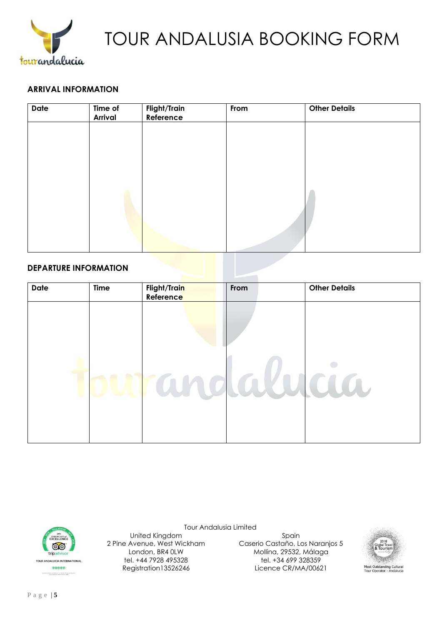

### **ARRIVAL INFORMATION**

| <b>Date</b> | Time of<br>Arrival | <b>Flight/Train</b><br>Reference | From | <b>Other Details</b> |  |
|-------------|--------------------|----------------------------------|------|----------------------|--|
|             |                    |                                  |      |                      |  |
|             |                    |                                  |      |                      |  |
|             |                    |                                  |      |                      |  |
|             |                    |                                  |      |                      |  |
|             |                    |                                  |      |                      |  |
|             |                    |                                  |      |                      |  |
|             |                    |                                  |      |                      |  |

### **DEPARTURE INFORMATION**

| <b>Date</b> | <b>Time</b> | Flight/Train<br>Reference | From   | <b>Other Details</b> |
|-------------|-------------|---------------------------|--------|----------------------|
|             |             |                           |        |                      |
|             |             |                           |        |                      |
|             |             |                           |        |                      |
| ú           |             | $\mathcal{A}_1$           | daanaa |                      |
|             |             |                           |        |                      |
|             |             |                           |        |                      |



United Kingdom 2 Pine Avenue, West Wickham

> London, BR4 0LW tel. +44 7928 495328 Registration13526246

Tour Andalusia Limited Spain Caserio Castaño, Los Naranjos 5 Mollina, 29532, Málaga tel. +34 699 328359 Licence CR/MA/00621

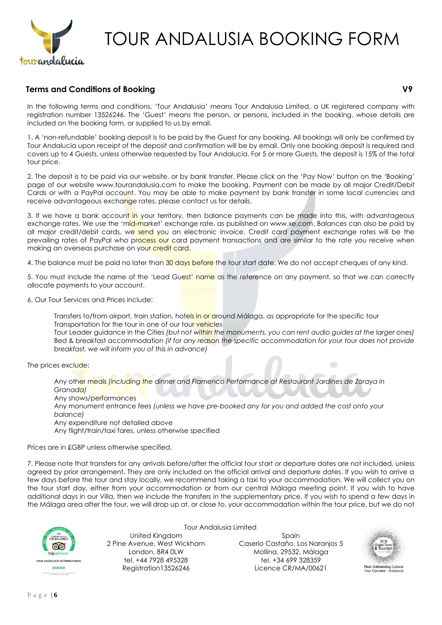

## **Terms and Conditions of Booking V9**

In the following terms and conditions, 'Tour Andalusia' means Tour Andalusia Limited, a UK registered company with registration number 13526246. The 'Guest' means the person, or persons, included in the booking, whose details are included on the booking form, or supplied to us by email.

1. A 'non-refundable' booking deposit is to be paid by the Guest for any booking. All bookings will only be confirmed by Tour Andalucia upon receipt of the deposit and confirmation will be by email. Only one booking deposit is required and covers up to 4 Guests, unless otherwise requested by Tour Andalucia. For 5 or more Guests, the deposit is 15% of the total tour price.

2. The deposit is to be paid via our website, or by bank transfer. Please click on the 'Pay Now' button on the 'Booking' page of our website www.tourandalusia.com to make the booking. Payment can be made by all major Credit/Debit Cards or with a PayPal account. You may be able to make payment by bank transfer in some local currencies and receive advantageous exchange rates, please contact us for details.

3. If we have a bank account in your territory, then balance payments can be made into this, with advantageous exchange rates. We use the 'mid-market' exchange rate, as published on www.xe.com. Balances can also be paid by all major credit/debit cards, we send you an electronic invoice. Credit card payment exchange rates will be the prevailing rates of PayPal who process our card payment transactions and are similar to the rate you receive when making an overseas purchase on your credit card.

4. The balance must be paid no later than 30 days before the tour start date. We do not accept cheques of any kind.

5. You must include the name of the 'Lead Guest' name as the reference on any payment, so that we can correctly allocate payments to your account.

6. Our Tour Services and Prices include:

Transfers to/from airport, train station, hotels in or around Málaga, as appropriate for the specific tour Transportation for the tour in one of our tour vehicles

Tour Leader guidance in the Cities *(but not within the monuments, you can rent audio guides at the larger ones)* Bed & breakfast accommodation *(if for any reason the specific accommodation for your tour does not provide breakfast, we will inform you of this in advance)*

The prices exclude:

Any other meals *(including the dinner and Flamenco Performance at Restaurant Jardines de Zoraya in Granada)*

Any shows/performances

Any monument entrance fees *(unless we have pre-booked any for you and added the cost onto your balance)*

Any expenditure not detailed above

Any flight/train/taxi fares, unless otherwise specified

Prices are in £GBP unless otherwise specified.

7. Please note that transfers for any arrivals before/after the official tour start or departure dates are not included, unless agreed by prior arrangement. They are only included on the official arrival and departure dates. If you wish to arrive a few days before the tour and stay locally, we recommend taking a taxi to your accommodation. We will collect you on the tour start day, either from your accommodation or from our central Málaga meeting point. If you wish to have additional days in our Villa, then we include the transfers in the supplementary price. If you wish to spend a few days in the Málaga area after the tour, we will drop up at, or close to, your accommodation within the tour price, but we do not



United Kingdom 2 Pine Avenue, West Wickham London, BR4 0LW tel. +44 7928 495328 Registration13526246

Tour Andalusia Limited

Spain Caserio Castaño, Los Naranjos 5 Mollina, 29532, Málaga tel. +34 699 328359 Licence CR/MA/00621

 $\bigcirc$ 

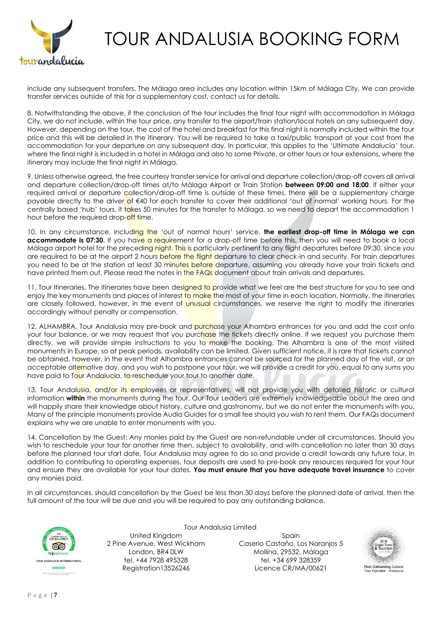

include any subsequent transfers. The Málaga area includes any location within 15km of Málaga City. We can provide transfer services outside of this for a supplementary cost, contact us for details.

8. Notwithstanding the above, if the conclusion of the tour includes the final tour night with accommodation in Málaga City, we do not include, within the tour price, any transfer to the airport/train station/local hotels on any subsequent day. However, depending on the tour, the cost of the hotel and breakfast for this final night is normally included within the tour price and this will be detailed in the itinerary. You will be required to take a taxi/public transport at your cost from the accommodation for your departure on any subsequent day. In particular, this applies to the 'Ultimate Andalucia' tour, where the final night is included in a hotel in Málaga and also to some Private, or other tours or tour extensions, where the itinerary may include the final night in Málaga.

9. Unless otherwise agreed, the free courtesy transfer service for arrival and departure collection/drop-off covers all arrival and departure collection/drop-off times at/to Málaga Airport or Train Station **between 09:00 and 18:00**. If either your required arrival or departure collection/drop-off time is outside of these times, there will be a supplementary charge payable directly to the driver of €40 for each transfer to cover their additional 'out of normal' working hours. For the centrally based 'hub' tours, it takes 50 minutes for the transfer to Málaga, so we need to depart the accommodation 1 hour before the required drop-off time.

10. In any circumstance, including the 'out of normal hours' service, **the earliest drop-off time in Málaga we can accommodate is 07:30**. If you have a requirement for a drop-off time before this, then you will need to book a local Málaga airport hotel for the preceding night. This is particularly pertinent to any flight departures before 09:30, since you are required to be at the airport 2 hours before the flight departure to clear check-in and security. For train departures you need to be at the station at least 30 minutes before departure, assuming you already have your train tickets and have printed them out. Please read the notes in the FAQs document about train arrivals and departures.

11. Tour Itineraries. The itineraries have been designed to provide what we feel are the best structure for you to see and enjoy the key monuments and places of interest to make the most of your time in each location. Normally, the itineraries are closely followed, however, in the event of unusual circumstances, we reserve the right to modify the itineraries accordingly without penalty or compensation.

12. ALHAMBRA. Tour Andalusia may pre-book and purchase your Alhambra entrances for you and add the cost onto your tour balance, or we may request that you purchase the tickets directly online. If we request you purchase them directly, we will provide simple instructions to you to make the booking. The Alhambra is one of the most visited monuments in Europe, so at peak periods, availability can be limited. Given sufficient notice, it is rare that tickets cannot be obtained, however, in the event that Alhambra entrances cannot be sourced for the planned day of the visit, or an acceptable alternative day, and you wish to postpone your tour, we will provide a credit for you, equal to any sums you have paid to Tour Andalucia, to reschedule your tour to another date.

13. Tour Andalusia, and/or its employees or representatives, will not provide you with detailed historic or cultural information **within** the monuments during the tour. Our Tour Leaders are extremely knowledgeable about the area and will happily share their knowledge about history, culture and gastronomy, but we do not enter the monuments with you, Many of the principle monuments provide Audio Guides for a small fee should you wish to rent them. Our FAQs document explains why we are unable to enter monuments with you.

14. Cancellation by the Guest: Any monies paid by the Guest are non-refundable under all circumstances. Should you wish to reschedule your tour for another time then, subject to availability, and with cancellation no later than 30 days before the planned tour start date, Tour Andalusia may agree to do so and provide a credit towards any future tour. In addition to contributing to operating expenses, tour deposits are used to pre-book any resources required for your tour and ensure they are available for your tour dates. **You must ensure that you have adequate travel insurance** to cover any monies paid.

In all circumstances, should cancellation by the Guest be less than 30 days before the planned date of arrival, then the full amount of the tour will be due and you will be required to pay any outstanding balance.



United Kingdom 2 Pine Avenue, West Wickham London, BR4 0LW tel. +44 7928 495328 Registration13526246

Tour Andalusia Limited

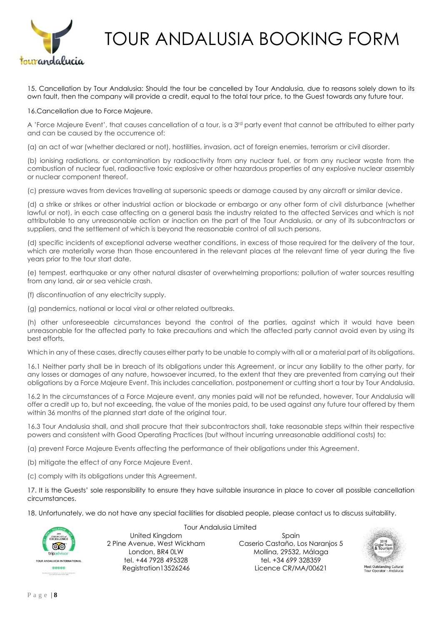

15. Cancellation by Tour Andalusia: Should the tour be cancelled by Tour Andalusia, due to reasons solely down to its own fault, then the company will provide a credit, equal to the total tour price, to the Guest towards any future tour.

16.Cancellation due to Force Majeure.

A 'Force Majeure Event', that causes cancellation of a tour, is a 3<sup>rd</sup> party event that cannot be attributed to either party and can be caused by the occurrence of:

(a) an act of war (whether declared or not), hostilities, invasion, act of foreign enemies, terrorism or civil disorder.

(b) ionising radiations, or contamination by radioactivity from any nuclear fuel, or from any nuclear waste from the combustion of nuclear fuel, radioactive toxic explosive or other hazardous properties of any explosive nuclear assembly or nuclear component thereof.

(c) pressure waves from devices travelling at supersonic speeds or damage caused by any aircraft or similar device.

(d) a strike or strikes or other industrial action or blockade or embargo or any other form of civil disturbance (whether lawful or not), in each case affecting on a general basis the industry related to the affected Services and which is not attributable to any unreasonable action or inaction on the part of the Tour Andalusia, or any of its subcontractors or suppliers, and the settlement of which is beyond the reasonable control of all such persons.

(d) specific incidents of exceptional adverse weather conditions, in excess of those required for the delivery of the tour, which are materially worse than those encountered in the relevant places at the relevant time of year during the five years prior to the tour start date.

(e) tempest, earthquake or any other natural disaster of overwhelming proportions; pollution of water sources resulting from any land, air or sea vehicle crash.

(f) discontinuation of any electricity supply.

(g) pandemics, national or local viral or other related outbreaks.

(h) other unforeseeable circumstances beyond the control of the parties, against which it would have been unreasonable for the affected party to take precautions and which the affected party cannot avoid even by using its best efforts,

Which in any of these cases, directly causes either party to be unable to comply with all or a material part of its obligations.

16.1 Neither party shall be in breach of its obligations under this Agreement, or incur any liability to the other party, for any losses or damages of any nature, howsoever incurred, to the extent that they are prevented from carrying out their obligations by a Force Majeure Event. This includes cancellation, postponement or cutting short a tour by Tour Andalusia.

16.2 In the circumstances of a Force Majeure event, any monies paid will not be refunded, however, Tour Andalusia will offer a credit up to, but not exceeding, the value of the monies paid, to be used against any future tour offered by them within 36 months of the planned start date of the original tour.

16.3 Tour Andalusia shall, and shall procure that their subcontractors shall, take reasonable steps within their respective powers and consistent with Good Operating Practices (but without incurring unreasonable additional costs) to:

(a) prevent Force Majeure Events affecting the performance of their obligations under this Agreement.

(b) mitigate the effect of any Force Majeure Event.

(c) comply with its obligations under this Agreement.

17. It is the Guests' sole responsibility to ensure they have suitable insurance in place to cover all possible cancellation circumstances.

18. Unfortunately, we do not have any special facilities for disabled people, please contact us to discuss suitability.



Tour Andalusia Limited United Kingdom 2 Pine Avenue, West Wickham London, BR4 0LW tel. +44 7928 495328 Registration13526246

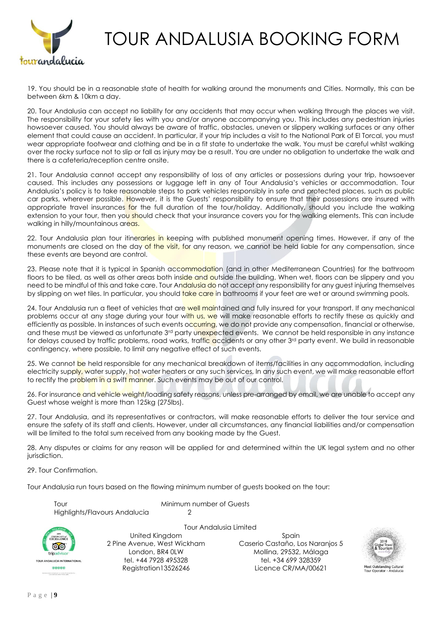

19. You should be in a reasonable state of health for walking around the monuments and Cities. Normally, this can be between 6km & 10km a day.

20. Tour Andalusia can accept no liability for any accidents that may occur when walking through the places we visit. The responsibility for your safety lies with you and/or anyone accompanying you. This includes any pedestrian injuries howsoever caused. You should always be aware of traffic, obstacles, uneven or slippery walking surfaces or any other element that could cause an accident. In particular, if your trip includes a visit to the National Park of El Torcal, you must wear appropriate footwear and clothing and be in a fit state to undertake the walk. You must be careful whilst walking over the rocky surface not to slip or fall as injury may be a result. You are under no obligation to undertake the walk and there is a cafeteria/reception centre onsite.

21. Tour Andalusia cannot accept any responsibility of loss of any articles or possessions during your trip, howsoever caused. This includes any possessions or luggage left in any of Tour Andalusia's vehicles or accommodation. Tour Andalusia's policy is to take reasonable steps to park vehicles responsibly in safe and protected places, such as public car parks, wherever possible. However, it is the Guests' responsibility to ensure that their possessions are insured with appropriate travel insurances for the full duration of the tour/holiday. Additionally, should you include the walking extension to your tour, then you should check that your insurance covers you for the walking elements. This can include walking in hilly/mountainous areas.

22. Tour Andalusia plan tour itineraries in keeping with published monument opening times. However, if any of the monuments are closed on the day of the visit, for any reason, we cannot be held liable for any compensation, since these events are beyond are control.

23. Please note that it is typical in Spanish accommodation (and in other Mediterranean Countries) for the bathroom floors to be tiled, as well as other areas both inside and outside the building. When wet, floors can be slippery and you need to be mindful of this and take care. Tour Andalusia do not accept any responsibility for any guest injuring themselves by slipping on wet tiles. In particular, you should take care in bathrooms if your feet are wet or around swimming pools.

24. Tour Andalusia run a fleet of vehicles that are well maintained and fully insured for your transport. If any mechanical problems occur at any stage during your tour with us, we will make reasonable efforts to rectify these as quickly and efficiently as possible. In instances of such events occurring, we do not provide any compensation, financial or otherwise, and these must be viewed as unfortunate 3<sup>rd</sup> party unexpected events. We cannot be held responsible in any instance for delays caused by traffic problems, road works, traffic accidents or any other 3rd party event. We build in reasonable contingency, where possible, to limit any negative effect of such events.

25. We cannot be held responsible for any mechanical breakdown of items/facilities in any accommodation, including electricity supply, water supply, hot water heaters or any such services. In any such event, we will make reasonable effort to rectify the problem in a swift manner. Such events may be out of our control.

26. For insurance and vehicle weight/loading safety reasons, unless pre-arranged by email, we are unable to accept any Guest whose weight is more than 125kg (275lbs).

27. Tour Andalusia, and its representatives or contractors, will make reasonable efforts to deliver the tour service and ensure the safety of its staff and clients. However, under all circumstances, any financial liabilities and/or compensation will be limited to the total sum received from any booking made by the Guest.

28. Any disputes or claims for any reason will be applied for and determined within the UK legal system and no other jurisdiction.

29. Tour Confirmation.

Tour Andalusia run tours based on the flowing minimum number of guests booked on the tour:

Tour **Minimum number of Guests** Highlights/Flavours Andalucia 2Tour Andalusia Limited United Kingdom 2 Pine Avenue, West Wickham ෧෧

London, BR4 0LW tel. +44 7928 495328 Registration13526246

Spain Caserio Castaño, Los Naranjos 5 Mollina, 29532, Málaga tel. +34 699 328359 Licence CR/MA/00621



trinadviso **DALUCIA INTERNATIONA** 

**GOOGOO**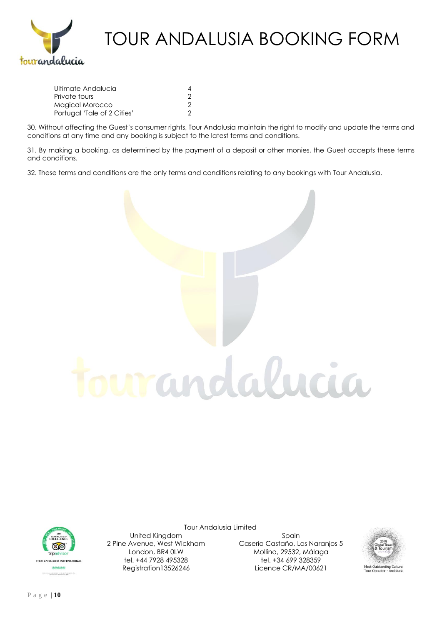

| 4 |
|---|
|   |
|   |
|   |
|   |

30. Without affecting the Guest's consumer rights, Tour Andalusia maintain the right to modify and update the terms and conditions at any time and any booking is subject to the latest terms and conditions.

31. By making a booking, as determined by the payment of a deposit or other monies, the Guest accepts these terms and conditions.

32. These terms and conditions are the only terms and conditions relating to any bookings with Tour Andalusia.



Tour Andalusia Limited



United Kingdom 2 Pine Avenue, West Wickham London, BR4 0LW tel. +44 7928 495328 Registration13526246